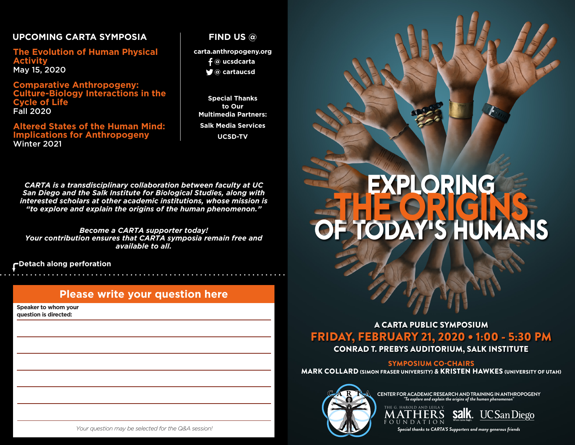# **UPCOMING CARTA SYMPOSIA**

**The Evolution of Human Physical Activity** May 15, 2020

**Comparative Anthropogeny: Culture-Biology Interactions in the Cycle of Life** Fall 2020

### **Altered States of the Human Mind: Implications for Anthropogeny** Winter 2021

### **FIND US @**

**carta.anthropogeny.org**

- **@ ucsdcarta**
- **@ cartaucsd**

**Special Thanks to Our Multimedia Partners: Salk Media Services UCSD-TV**

*CARTA is a transdisciplinary collaboration between faculty at UC San Diego and the Salk Institute for Biological Studies, along with interested scholars at other academic institutions, whose mission is "to explore and explain the origins of the human phenomenon."*

*Become a CARTA supporter today! Your contribution ensures that CARTA symposia remain free and available to all.* 

**Detach along perforation**

## **Please write your question here**

**Speaker to whom your question is directed:**



# OF TODAY'S HUMANS EXPLORING THE

### FRIDAY, FEBRUARY 21, 2020 . 1:00 - 5:30 PM CONRAD T. PREBYS AUDITORIUM, SALK INSTITUTE A CARTA PUBLIC SYMPOSIUM

### SYMPOSIUM CO-CHAIRS

MARK COLLARD (SIMON FRASER UNIVERSITY) *&* KRISTEN HAWKES (UNIVERSITY OF UTAH)



**CENTER FOR ACADEMIC RESEARCH AND TRAINING IN ANTHROPOGENY** *"To explore and explain the origins of the human phenomenon"*





*Special thanks to CARTA'S Supporters and many generous friends*